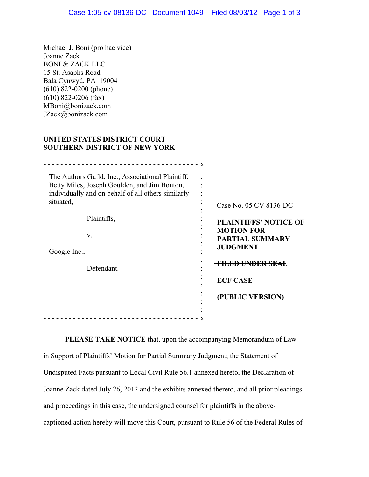Michael J. Boni (pro hac vice) Joanne Zack BONI & ZACK LLC 15 St. Asaphs Road Bala Cynwyd, PA 19004 (610) 822-0200 (phone) (610) 822-0206 (fax) MBoni@bonizack.com JZack@bonizack.com

## **UNITED STATES DISTRICT COURT SOUTHERN DISTRICT OF NEW YORK**

| The Authors Guild, Inc., Associational Plaintiff,<br>Betty Miles, Joseph Goulden, and Jim Bouton,<br>individually and on behalf of all others similarly<br>situated, | Case No. 05 CV 8136-DC                                         |
|----------------------------------------------------------------------------------------------------------------------------------------------------------------------|----------------------------------------------------------------|
| Plaintiffs,                                                                                                                                                          | <b>PLAINTIFFS' NOTICE OF</b>                                   |
| V.<br>Google Inc.,                                                                                                                                                   | <b>MOTION FOR</b><br><b>PARTIAL SUMMARY</b><br><b>JUDGMENT</b> |
| Defendant.                                                                                                                                                           | <del>-FILED UNDER SEAL</del>                                   |
|                                                                                                                                                                      | <b>ECF CASE</b>                                                |
|                                                                                                                                                                      | (PUBLIC VERSION)                                               |
|                                                                                                                                                                      | X                                                              |
|                                                                                                                                                                      |                                                                |

 **PLEASE TAKE NOTICE** that, upon the accompanying Memorandum of Law in Support of Plaintiffs' Motion for Partial Summary Judgment; the Statement of Undisputed Facts pursuant to Local Civil Rule 56.1 annexed hereto, the Declaration of Joanne Zack dated July 26, 2012 and the exhibits annexed thereto, and all prior pleadings and proceedings in this case, the undersigned counsel for plaintiffs in the abovecaptioned action hereby will move this Court, pursuant to Rule 56 of the Federal Rules of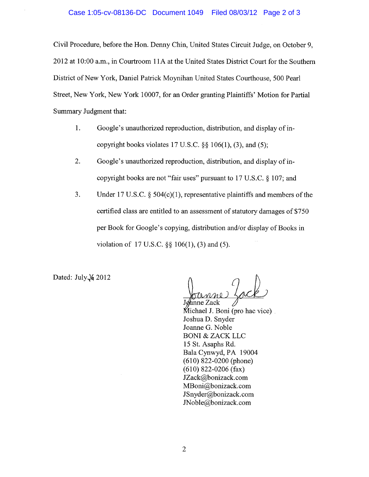Civil Procedure, before the Hon. Denny Chin, United States Circuit Judge, on October 9, 2012 at 10:00 a.m., in Courtroom 11A at the United States District Court for the Southern District of New York, Daniel Patrick Moynihan United States Courthouse, 500 Pearl Street, New York, New York 10007, for an Order granting Plaintiffs' Motion for Partial Summary Judgment that:

- 1. Google's unauthorized reproduction, distribution, and display of incopyright books violates 17 U.S.C.  $\S$  106(1), (3), and (5);
- 2. Google's unauthorized reproduction, distribution, and display of incopyright books are not "fair uses" pursuant to 17 U.S.C. § 107; and
- $3.$ Under 17 U.S.C. § 504(c)(1), representative plaintiffs and members of the certified class are entitled to an assessment of statutory damages of \$750 per Book for Google's copying, distribution and/or display of Books in violation of 17 U.S.C.  $\S$  106(1), (3) and (5).

Dated: July  $\sqrt{6}$  2012

Joanne Zack Michael J. Boni (pro hac vice). Joshua D. Snyder Joanne G. Noble **BONI & ZACK LLC** 15 St. Asaphs Rd. Bala Cynwyd, PA 19004  $(610)$  822-0200 (phone)  $(610)$  822-0206 (fax) JZack@bonizack.com MBoni@bonizack.com JSnyder@bonizack.com JNoble@bonizack.com